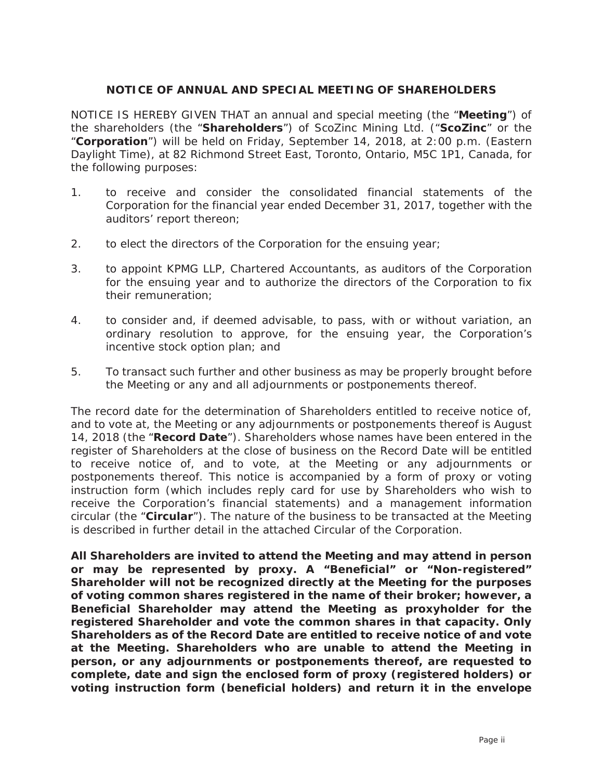## **NOTICE OF ANNUAL AND SPECIAL MEETING OF SHAREHOLDERS**

NOTICE IS HEREBY GIVEN THAT an annual and special meeting (the "**Meeting**") of the shareholders (the "**Shareholders**") of ScoZinc Mining Ltd. ("**ScoZinc**" or the "**Corporation**") will be held on Friday, September 14, 2018, at 2:00 p.m. (Eastern Daylight Time), at 82 Richmond Street East, Toronto, Ontario, M5C 1P1, Canada, for the following purposes:

- 1. to receive and consider the consolidated financial statements of the Corporation for the financial year ended December 31, 2017, together with the auditors' report thereon;
- 2. to elect the directors of the Corporation for the ensuing year;
- 3. to appoint KPMG LLP, Chartered Accountants, as auditors of the Corporation for the ensuing year and to authorize the directors of the Corporation to fix their remuneration;
- 4. to consider and, if deemed advisable, to pass, with or without variation, an ordinary resolution to approve, for the ensuing year, the Corporation's incentive stock option plan; and
- 5. To transact such further and other business as may be properly brought before the Meeting or any and all adjournments or postponements thereof.

The record date for the determination of Shareholders entitled to receive notice of, and to vote at, the Meeting or any adjournments or postponements thereof is August 14, 2018 (the "**Record Date**"). Shareholders whose names have been entered in the register of Shareholders at the close of business on the Record Date will be entitled to receive notice of, and to vote, at the Meeting or any adjournments or postponements thereof. This notice is accompanied by a form of proxy or voting instruction form (which includes reply card for use by Shareholders who wish to receive the Corporation's financial statements) and a management information circular (the "**Circular**"). The nature of the business to be transacted at the Meeting is described in further detail in the attached Circular of the Corporation.

**All Shareholders are invited to attend the Meeting and may attend in person or may be represented by proxy. A "Beneficial" or "Non-registered" Shareholder will not be recognized directly at the Meeting for the purposes of voting common shares registered in the name of their broker; however, a Beneficial Shareholder may attend the Meeting as proxyholder for the registered Shareholder and vote the common shares in that capacity. Only Shareholders as of the Record Date are entitled to receive notice of and vote at the Meeting. Shareholders who are unable to attend the Meeting in person, or any adjournments or postponements thereof, are requested to complete, date and sign the enclosed form of proxy (registered holders) or voting instruction form (beneficial holders) and return it in the envelope**